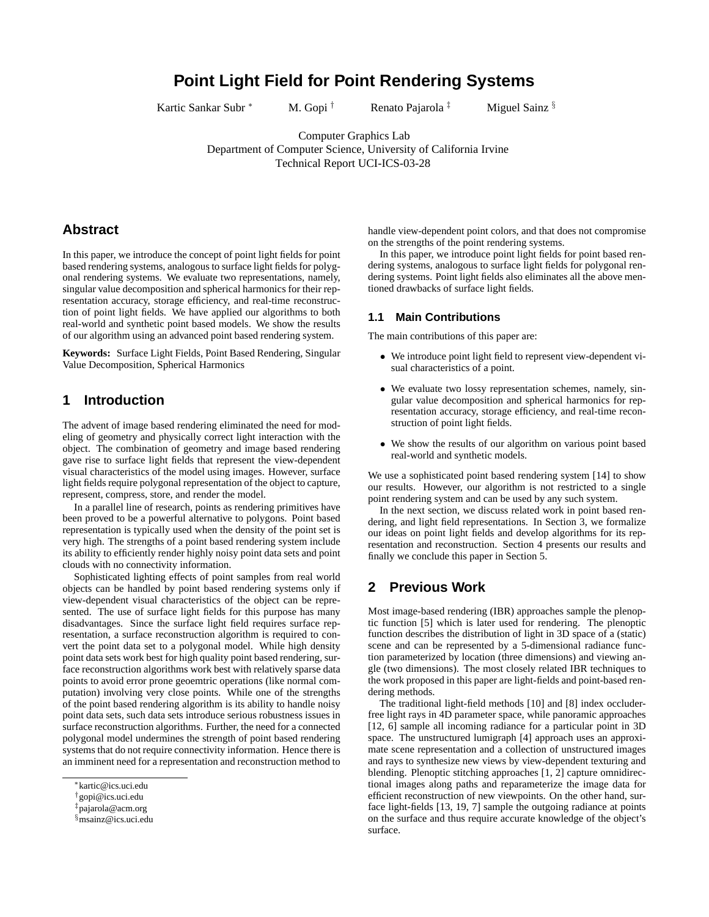# **Point Light Field for Point Rendering Systems**

Kartic Sankar Subr \* M. Gopi <sup>†</sup> Renato Pajarola <sup>‡</sup> Miguel Sainz §

Computer Graphics Lab Department of Computer Science, University of California Irvine Technical Report UCI-ICS-03-28

# **Abstract**

In this paper, we introduce the concept of point light fields for point based rendering systems, analogous to surface light fields for polygonal rendering systems. We evaluate two representations, namely, singular value decomposition and spherical harmonics for their representation accuracy, storage efficiency, and real-time reconstruction of point light fields. We have applied our algorithms to both real-world and synthetic point based models. We show the results of our algorithm using an advanced point based rendering system.

**Keywords:** Surface Light Fields, Point Based Rendering, Singular Value Decomposition, Spherical Harmonics

## **1 Introduction**

The advent of image based rendering eliminated the need for modeling of geometry and physically correct light interaction with the object. The combination of geometry and image based rendering gave rise to surface light fields that represent the view-dependent visual characteristics of the model using images. However, surface light fields require polygonal representation of the object to capture, represent, compress, store, and render the model.

In a parallel line of research, points as rendering primitives have been proved to be a powerful alternative to polygons. Point based representation is typically used when the density of the point set is very high. The strengths of a point based rendering system include its ability to efficiently render highly noisy point data sets and point clouds with no connectivity information.

Sophisticated lighting effects of point samples from real world objects can be handled by point based rendering systems only if view-dependent visual characteristics of the object can be represented. The use of surface light fields for this purpose has many disadvantages. Since the surface light field requires surface representation, a surface reconstruction algorithm is required to convert the point data set to a polygonal model. While high density point data sets work best for high quality point based rendering, surface reconstruction algorithms work best with relatively sparse data points to avoid error prone geoemtric operations (like normal computation) involving very close points. While one of the strengths of the point based rendering algorithm is its ability to handle noisy point data sets, such data sets introduce serious robustness issues in surface reconstruction algorithms. Further, the need for a connected polygonal model undermines the strength of point based rendering systems that do not require connectivity information. Hence there is an imminent need for a representation and reconstruction method to

handle view-dependent point colors, and that does not compromise on the strengths of the point rendering systems.

In this paper, we introduce point light fields for point based rendering systems, analogous to surface light fields for polygonal rendering systems. Point light fields also eliminates all the above mentioned drawbacks of surface light fields.

#### **1.1 Main Contributions**

The main contributions of this paper are:

- We introduce point light field to represent view-dependent visual characteristics of a point.
- We evaluate two lossy representation schemes, namely, singular value decomposition and spherical harmonics for representation accuracy, storage efficiency, and real-time reconstruction of point light fields.
- We show the results of our algorithm on various point based real-world and synthetic models.

We use a sophisticated point based rendering system [14] to show our results. However, our algorithm is not restricted to a single point rendering system and can be used by any such system.

In the next section, we discuss related work in point based rendering, and light field representations. In Section 3, we formalize our ideas on point light fields and develop algorithms for its representation and reconstruction. Section 4 presents our results and finally we conclude this paper in Section 5.

### **2 Previous Work**

Most image-based rendering (IBR) approaches sample the plenoptic function [5] which is later used for rendering. The plenoptic function describes the distribution of light in 3D space of a (static) scene and can be represented by a 5-dimensional radiance function parameterized by location (three dimensions) and viewing angle (two dimensions). The most closely related IBR techniques to the work proposed in this paper are light-fields and point-based rendering methods.

The traditional light-field methods [10] and [8] index occluderfree light rays in 4D parameter space, while panoramic approaches [12, 6] sample all incoming radiance for a particular point in 3D space. The unstructured lumigraph [4] approach uses an approximate scene representation and a collection of unstructured images and rays to synthesize new views by view-dependent texturing and blending. Plenoptic stitching approaches [1, 2] capture omnidirectional images along paths and reparameterize the image data for efficient reconstruction of new viewpoints. On the other hand, surface light-fields [13, 19, 7] sample the outgoing radiance at points on the surface and thus require accurate knowledge of the object's surface.

<sup>∗</sup>kartic@ics.uci.edu

<sup>†</sup>gopi@ics.uci.edu

<sup>‡</sup>pajarola@acm.org

<sup>§</sup>msainz@ics.uci.edu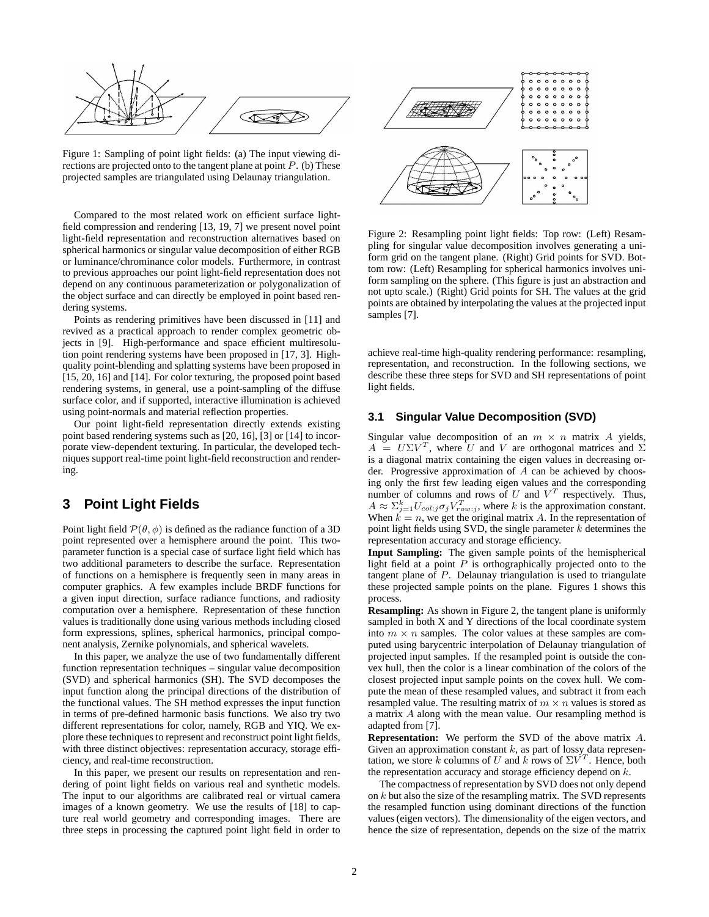

Figure 1: Sampling of point light fields: (a) The input viewing directions are projected onto to the tangent plane at point  $P$ . (b) These projected samples are triangulated using Delaunay triangulation.

Compared to the most related work on efficient surface lightfield compression and rendering [13, 19, 7] we present novel point light-field representation and reconstruction alternatives based on spherical harmonics or singular value decomposition of either RGB or luminance/chrominance color models. Furthermore, in contrast to previous approaches our point light-field representation does not depend on any continuous parameterization or polygonalization of the object surface and can directly be employed in point based rendering systems.

Points as rendering primitives have been discussed in [11] and revived as a practical approach to render complex geometric objects in [9]. High-performance and space efficient multiresolution point rendering systems have been proposed in [17, 3]. Highquality point-blending and splatting systems have been proposed in [15, 20, 16] and [14]. For color texturing, the proposed point based rendering systems, in general, use a point-sampling of the diffuse surface color, and if supported, interactive illumination is achieved using point-normals and material reflection properties.

Our point light-field representation directly extends existing point based rendering systems such as [20, 16], [3] or [14] to incorporate view-dependent texturing. In particular, the developed techniques support real-time point light-field reconstruction and rendering.

### **3 Point Light Fields**

Point light field  $\mathcal{P}(\theta, \phi)$  is defined as the radiance function of a 3D point represented over a hemisphere around the point. This twoparameter function is a special case of surface light field which has two additional parameters to describe the surface. Representation of functions on a hemisphere is frequently seen in many areas in computer graphics. A few examples include BRDF functions for a given input direction, surface radiance functions, and radiosity computation over a hemisphere. Representation of these function values is traditionally done using various methods including closed form expressions, splines, spherical harmonics, principal component analysis, Zernike polynomials, and spherical wavelets.

In this paper, we analyze the use of two fundamentally different function representation techniques – singular value decomposition (SVD) and spherical harmonics (SH). The SVD decomposes the input function along the principal directions of the distribution of the functional values. The SH method expresses the input function in terms of pre-defined harmonic basis functions. We also try two different representations for color, namely, RGB and YIQ. We explore these techniques to represent and reconstruct point light fields, with three distinct objectives: representation accuracy, storage efficiency, and real-time reconstruction.

In this paper, we present our results on representation and rendering of point light fields on various real and synthetic models. The input to our algorithms are calibrated real or virtual camera images of a known geometry. We use the results of [18] to capture real world geometry and corresponding images. There are three steps in processing the captured point light field in order to



Figure 2: Resampling point light fields: Top row: (Left) Resampling for singular value decomposition involves generating a uniform grid on the tangent plane. (Right) Grid points for SVD. Bottom row: (Left) Resampling for spherical harmonics involves uniform sampling on the sphere. (This figure is just an abstraction and not upto scale.) (Right) Grid points for SH. The values at the grid points are obtained by interpolating the values at the projected input samples [7].

achieve real-time high-quality rendering performance: resampling, representation, and reconstruction. In the following sections, we describe these three steps for SVD and SH representations of point light fields.

#### **3.1 Singular Value Decomposition (SVD)**

Singular value decomposition of an  $m \times n$  matrix A yields,  $A = U\Sigma V^T$ , where U and V are orthogonal matrices and  $\Sigma$ is a diagonal matrix containing the eigen values in decreasing order. Progressive approximation of A can be achieved by choosing only the first few leading eigen values and the corresponding number of columns and rows of U and  $V<sup>T</sup>$  respectively. Thus,  $A \approx \sum_{j=1}^{k} U_{col:j} \sigma_j V_{row:j}^T$ , where k is the approximation constant. When  $\tilde{k} = n$ , we get the original matrix A. In the representation of point light fields using SVD, the single parameter  $k$  determines the representation accuracy and storage efficiency.

**Input Sampling:** The given sample points of the hemispherical light field at a point  $P$  is orthographically projected onto to the tangent plane of P. Delaunay triangulation is used to triangulate these projected sample points on the plane. Figures 1 shows this process.

**Resampling:** As shown in Figure 2, the tangent plane is uniformly sampled in both X and Y directions of the local coordinate system into  $m \times n$  samples. The color values at these samples are computed using barycentric interpolation of Delaunay triangulation of projected input samples. If the resampled point is outside the convex hull, then the color is a linear combination of the colors of the closest projected input sample points on the covex hull. We compute the mean of these resampled values, and subtract it from each resampled value. The resulting matrix of  $m \times n$  values is stored as a matrix A along with the mean value. Our resampling method is adapted from [7].

**Representation:** We perform the SVD of the above matrix A. Given an approximation constant  $k$ , as part of lossy data representation, we store k columns of U and k rows of  $\Sigma V^T$ . Hence, both the representation accuracy and storage efficiency depend on k.

The compactness of representation by SVD does not only depend on  $k$  but also the size of the resampling matrix. The SVD represents the resampled function using dominant directions of the function values (eigen vectors). The dimensionality of the eigen vectors, and hence the size of representation, depends on the size of the matrix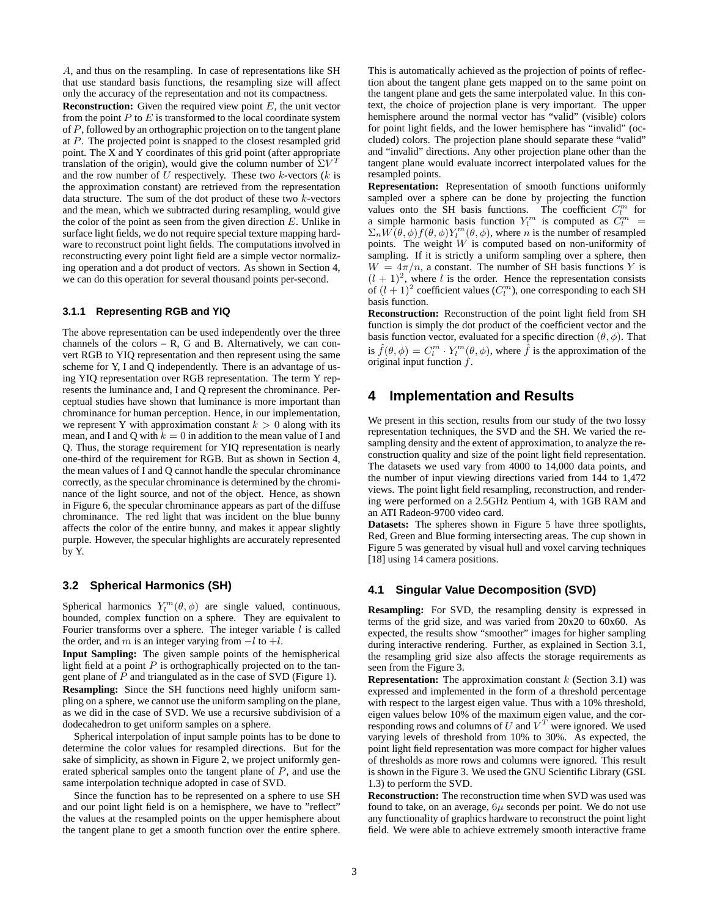A, and thus on the resampling. In case of representations like SH that use standard basis functions, the resampling size will affect only the accuracy of the representation and not its compactness. **Reconstruction:** Given the required view point E, the unit vector from the point  $P$  to  $E$  is transformed to the local coordinate system of P, followed by an orthographic projection on to the tangent plane at P. The projected point is snapped to the closest resampled grid point. The X and Y coordinates of this grid point (after appropriate translation of the origin), would give the column number of  $\Sigma V^T$ and the row number of  $U$  respectively. These two  $k$ -vectors  $(k$  is the approximation constant) are retrieved from the representation data structure. The sum of the dot product of these two  $k$ -vectors and the mean, which we subtracted during resampling, would give the color of the point as seen from the given direction  $E$ . Unlike in surface light fields, we do not require special texture mapping hardware to reconstruct point light fields. The computations involved in reconstructing every point light field are a simple vector normalizing operation and a dot product of vectors. As shown in Section 4, we can do this operation for several thousand points per-second.

#### **3.1.1 Representing RGB and YIQ**

The above representation can be used independently over the three channels of the colors  $-$  R, G and B. Alternatively, we can convert RGB to YIQ representation and then represent using the same scheme for Y, I and Q independently. There is an advantage of using YIQ representation over RGB representation. The term Y represents the luminance and, I and Q represent the chrominance. Perceptual studies have shown that luminance is more important than chrominance for human perception. Hence, in our implementation, we represent Y with approximation constant  $k > 0$  along with its mean, and I and Q with  $k = 0$  in addition to the mean value of I and Q. Thus, the storage requirement for YIQ representation is nearly one-third of the requirement for RGB. But as shown in Section 4, the mean values of I and Q cannot handle the specular chrominance correctly, as the specular chrominance is determined by the chrominance of the light source, and not of the object. Hence, as shown in Figure 6, the specular chrominance appears as part of the diffuse chrominance. The red light that was incident on the blue bunny affects the color of the entire bunny, and makes it appear slightly purple. However, the specular highlights are accurately represented by Y.

#### **3.2 Spherical Harmonics (SH)**

Spherical harmonics  $Y_l^m(\theta, \phi)$  are single valued, continuous, bounded, complex function on a sphere. They are equivalent to Fourier transforms over a sphere. The integer variable  $l$  is called the order, and m is an integer varying from  $-l$  to  $+l$ .

**Input Sampling:** The given sample points of the hemispherical light field at a point  $P$  is orthographically projected on to the tangent plane of P and triangulated as in the case of SVD (Figure 1). **Resampling:** Since the SH functions need highly uniform sampling on a sphere, we cannot use the uniform sampling on the plane, as we did in the case of SVD. We use a recursive subdivision of a dodecahedron to get uniform samples on a sphere.

Spherical interpolation of input sample points has to be done to determine the color values for resampled directions. But for the sake of simplicity, as shown in Figure 2, we project uniformly generated spherical samples onto the tangent plane of  $P$ , and use the same interpolation technique adopted in case of SVD.

Since the function has to be represented on a sphere to use SH and our point light field is on a hemisphere, we have to "reflect" the values at the resampled points on the upper hemisphere about the tangent plane to get a smooth function over the entire sphere. This is automatically achieved as the projection of points of reflection about the tangent plane gets mapped on to the same point on the tangent plane and gets the same interpolated value. In this context, the choice of projection plane is very important. The upper hemisphere around the normal vector has "valid" (visible) colors for point light fields, and the lower hemisphere has "invalid" (occluded) colors. The projection plane should separate these "valid" and "invalid" directions. Any other projection plane other than the tangent plane would evaluate incorrect interpolated values for the resampled points.

**Representation:** Representation of smooth functions uniformly sampled over a sphere can be done by projecting the function values onto the SH basis functions. The coefficient  $C_l^m$  for a simple harmonic basis function  $Y_l^m$  is computed as  $\dot{C}_l^m$  =  $\Sigma_n W(\theta, \phi) f(\theta, \phi) Y_l^m(\theta, \phi)$ , where *n* is the number of resampled points. The weight W is computed based on non-uniformity of sampling. If it is strictly a uniform sampling over a sphere, then  $W = 4\pi/n$ , a constant. The number of SH basis functions Y is  $(l + 1)^2$ , where l is the order. Hence the representation consists of  $(l + 1)^2$  coefficient values  $(C_l^m)$ , one corresponding to each SH basis function.

**Reconstruction:** Reconstruction of the point light field from SH function is simply the dot product of the coefficient vector and the basis function vector, evaluated for a specific direction  $(\theta, \phi)$ . That is  $\hat{f}(\theta,\phi) = C_l^m \cdot Y_l^m(\theta,\phi)$ , where  $\hat{f}$  is the approximation of the original input function  $f$ .

### **4 Implementation and Results**

We present in this section, results from our study of the two lossy representation techniques, the SVD and the SH. We varied the resampling density and the extent of approximation, to analyze the reconstruction quality and size of the point light field representation. The datasets we used vary from 4000 to 14,000 data points, and the number of input viewing directions varied from 144 to 1,472 views. The point light field resampling, reconstruction, and rendering were performed on a 2.5GHz Pentium 4, with 1GB RAM and an ATI Radeon-9700 video card.

**Datasets:** The spheres shown in Figure 5 have three spotlights, Red, Green and Blue forming intersecting areas. The cup shown in Figure 5 was generated by visual hull and voxel carving techniques [18] using 14 camera positions.

#### **4.1 Singular Value Decomposition (SVD)**

**Resampling:** For SVD, the resampling density is expressed in terms of the grid size, and was varied from 20x20 to 60x60. As expected, the results show "smoother" images for higher sampling during interactive rendering. Further, as explained in Section 3.1, the resampling grid size also affects the storage requirements as seen from the Figure 3.

**Representation:** The approximation constant  $k$  (Section 3.1) was expressed and implemented in the form of a threshold percentage with respect to the largest eigen value. Thus with a 10% threshold, eigen values below 10% of the maximum eigen value, and the corresponding rows and columns of U and  $V^T$  were ignored. We used varying levels of threshold from 10% to 30%. As expected, the point light field representation was more compact for higher values of thresholds as more rows and columns were ignored. This result is shown in the Figure 3. We used the GNU Scientific Library (GSL 1.3) to perform the SVD.

**Reconstruction:** The reconstruction time when SVD was used was found to take, on an average,  $6\mu$  seconds per point. We do not use any functionality of graphics hardware to reconstruct the point light field. We were able to achieve extremely smooth interactive frame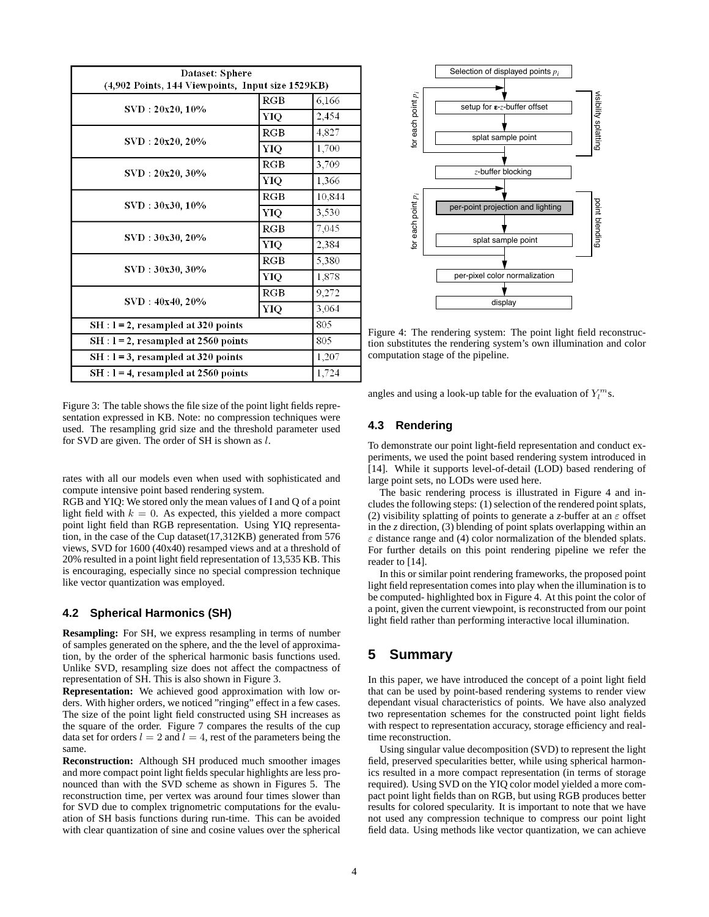| Dataset: Sphere<br>(4,902 Points, 144 Viewpoints, Input size 1529KB) |              |        |
|----------------------------------------------------------------------|--------------|--------|
| SVD: 20x20, 10%                                                      | RGB          | 6,166  |
|                                                                      | YIQ          | 2,454  |
| SVD: 20x20, 20%                                                      | RGB          | 4,827  |
|                                                                      | YIQ          | 1,700  |
| SVD: 20x20, 30%                                                      | RGB          | 3,709  |
|                                                                      | YIQ          | 1,366  |
| SVD: 30x30, 10%                                                      | $_{\rm RGB}$ | 10,844 |
|                                                                      | YIQ          | 3,530  |
| SVD: 30x30, 20%                                                      | RGB          | 7,045  |
|                                                                      | YIQ          | 2,384  |
| SVD: 30x30, 30%                                                      | RGB          | 5,380  |
|                                                                      | YIQ          | 1,878  |
| SVD: 40x40, 20%                                                      | RGB          | 9,272  |
|                                                                      | YIO          | 3,064  |
| $SH: I = 2$ , resampled at 320 points                                |              | 805    |
| $SH: I = 2$ , resampled at 2560 points                               |              | 805    |
| $SH: I = 3$ , resampled at 320 points                                |              | 1,207  |
| $SH: I = 4$ , resampled at 2560 points                               |              | 1,724  |

Figure 3: The table shows the file size of the point light fields representation expressed in KB. Note: no compression techniques were used. The resampling grid size and the threshold parameter used for SVD are given. The order of SH is shown as l.

rates with all our models even when used with sophisticated and compute intensive point based rendering system.

RGB and YIQ: We stored only the mean values of I and Q of a point light field with  $k = 0$ . As expected, this yielded a more compact point light field than RGB representation. Using YIQ representation, in the case of the Cup dataset(17,312KB) generated from 576 views, SVD for 1600 (40x40) resamped views and at a threshold of 20% resulted in a point light field representation of 13,535 KB. This is encouraging, especially since no special compression technique like vector quantization was employed.

#### **4.2 Spherical Harmonics (SH)**

**Resampling:** For SH, we express resampling in terms of number of samples generated on the sphere, and the the level of approximation, by the order of the spherical harmonic basis functions used. Unlike SVD, resampling size does not affect the compactness of representation of SH. This is also shown in Figure 3.

**Representation:** We achieved good approximation with low orders. With higher orders, we noticed "ringing" effect in a few cases. The size of the point light field constructed using SH increases as the square of the order. Figure 7 compares the results of the cup data set for orders  $l = 2$  and  $l = 4$ , rest of the parameters being the same.

**Reconstruction:** Although SH produced much smoother images and more compact point light fields specular highlights are less pronounced than with the SVD scheme as shown in Figures 5. The reconstruction time, per vertex was around four times slower than for SVD due to complex trignometric computations for the evaluation of SH basis functions during run-time. This can be avoided with clear quantization of sine and cosine values over the spherical



Figure 4: The rendering system: The point light field reconstruction substitutes the rendering system's own illumination and color computation stage of the pipeline.

angles and using a look-up table for the evaluation of  $Y_l^m$ s.

### **4.3 Rendering**

To demonstrate our point light-field representation and conduct experiments, we used the point based rendering system introduced in [14]. While it supports level-of-detail (LOD) based rendering of large point sets, no LODs were used here.

The basic rendering process is illustrated in Figure 4 and includes the following steps: (1) selection of the rendered point splats, (2) visibility splatting of points to generate a *z*-buffer at an  $\varepsilon$  offset in the *z* direction, (3) blending of point splats overlapping within an  $\varepsilon$  distance range and (4) color normalization of the blended splats. For further details on this point rendering pipeline we refer the reader to [14].

In this or similar point rendering frameworks, the proposed point light field representation comes into play when the illumination is to be computed- highlighted box in Figure 4. At this point the color of a point, given the current viewpoint, is reconstructed from our point light field rather than performing interactive local illumination.

# **5 Summary**

In this paper, we have introduced the concept of a point light field that can be used by point-based rendering systems to render view dependant visual characteristics of points. We have also analyzed two representation schemes for the constructed point light fields with respect to representation accuracy, storage efficiency and realtime reconstruction.

Using singular value decomposition (SVD) to represent the light field, preserved specularities better, while using spherical harmonics resulted in a more compact representation (in terms of storage required). Using SVD on the YIQ color model yielded a more compact point light fields than on RGB, but using RGB produces better results for colored specularity. It is important to note that we have not used any compression technique to compress our point light field data. Using methods like vector quantization, we can achieve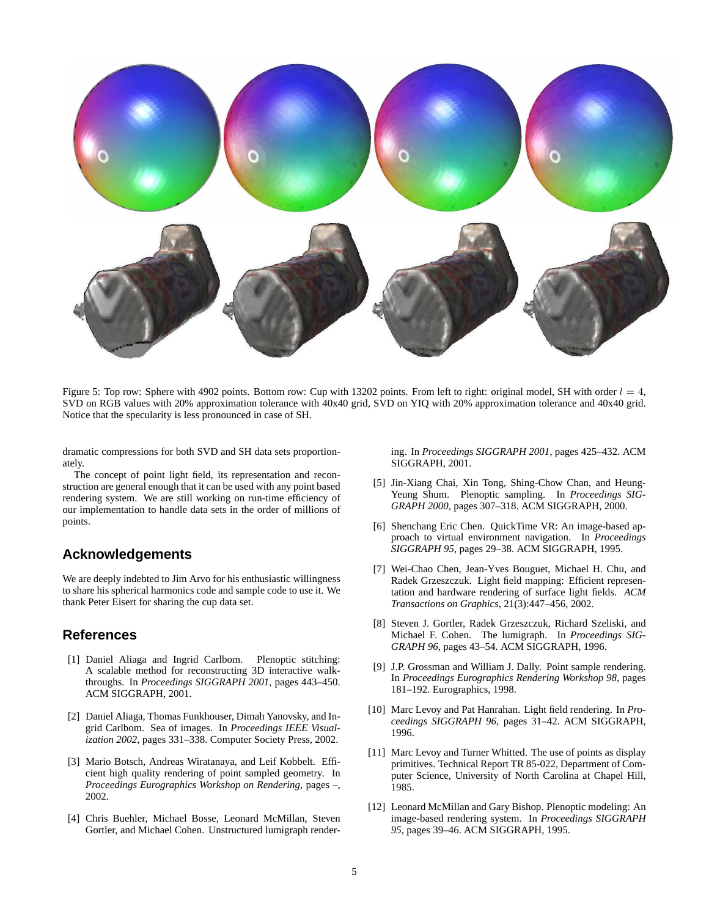

Figure 5: Top row: Sphere with 4902 points. Bottom row: Cup with 13202 points. From left to right: original model, SH with order  $l = 4$ , SVD on RGB values with 20% approximation tolerance with 40x40 grid, SVD on YIQ with 20% approximation tolerance and 40x40 grid. Notice that the specularity is less pronounced in case of SH.

dramatic compressions for both SVD and SH data sets proportionately.

The concept of point light field, its representation and reconstruction are general enough that it can be used with any point based rendering system. We are still working on run-time efficiency of our implementation to handle data sets in the order of millions of points.

# **Acknowledgements**

We are deeply indebted to Jim Arvo for his enthusiastic willingness to share his spherical harmonics code and sample code to use it. We thank Peter Eisert for sharing the cup data set.

# **References**

- [1] Daniel Aliaga and Ingrid Carlbom. Plenoptic stitching: A scalable method for reconstructing 3D interactive walkthroughs. In *Proceedings SIGGRAPH 2001*, pages 443–450. ACM SIGGRAPH, 2001.
- [2] Daniel Aliaga, Thomas Funkhouser, Dimah Yanovsky, and Ingrid Carlbom. Sea of images. In *Proceedings IEEE Visualization 2002*, pages 331–338. Computer Society Press, 2002.
- [3] Mario Botsch, Andreas Wiratanaya, and Leif Kobbelt. Efficient high quality rendering of point sampled geometry. In *Proceedings Eurographics Workshop on Rendering*, pages –, 2002.
- [4] Chris Buehler, Michael Bosse, Leonard McMillan, Steven Gortler, and Michael Cohen. Unstructured lumigraph render-

ing. In *Proceedings SIGGRAPH 2001*, pages 425–432. ACM SIGGRAPH, 2001.

- [5] Jin-Xiang Chai, Xin Tong, Shing-Chow Chan, and Heung-Yeung Shum. Plenoptic sampling. In *Proceedings SIG-GRAPH 2000*, pages 307–318. ACM SIGGRAPH, 2000.
- [6] Shenchang Eric Chen. QuickTime VR: An image-based approach to virtual environment navigation. In *Proceedings SIGGRAPH 95*, pages 29–38. ACM SIGGRAPH, 1995.
- [7] Wei-Chao Chen, Jean-Yves Bouguet, Michael H. Chu, and Radek Grzeszczuk. Light field mapping: Efficient representation and hardware rendering of surface light fields. *ACM Transactions on Graphics*, 21(3):447–456, 2002.
- [8] Steven J. Gortler, Radek Grzeszczuk, Richard Szeliski, and Michael F. Cohen. The lumigraph. In *Proceedings SIG-GRAPH 96*, pages 43–54. ACM SIGGRAPH, 1996.
- [9] J.P. Grossman and William J. Dally. Point sample rendering. In *Proceedings Eurographics Rendering Workshop 98*, pages 181–192. Eurographics, 1998.
- [10] Marc Levoy and Pat Hanrahan. Light field rendering. In *Proceedings SIGGRAPH 96*, pages 31–42. ACM SIGGRAPH, 1996.
- [11] Marc Levoy and Turner Whitted. The use of points as display primitives. Technical Report TR 85-022, Department of Computer Science, University of North Carolina at Chapel Hill, 1985.
- [12] Leonard McMillan and Gary Bishop. Plenoptic modeling: An image-based rendering system. In *Proceedings SIGGRAPH 95*, pages 39–46. ACM SIGGRAPH, 1995.